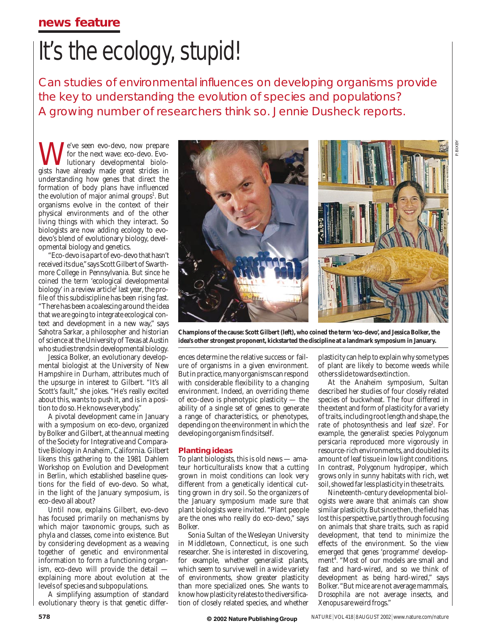## **news feature**

# It's the ecology, stupid!

Can studies of environmental influences on developing organisms provide the key to understanding the evolution of species and populations? A growing number of researchers think so. Jennie Dusheck reports.

e've seen evo-devo, now prepare for the next wave: eco-devo. Evolutionary developmental biologists have already made great strides in understanding how genes that direct the formation of body plans have influenced the evolution of major animal groups<sup>1</sup>. But organisms evolve in the context of their physical environments and of the other living things with which they interact. So biologists are now adding ecology to evodevo's blend of evolutionary biology, developmental biology and genetics.

"Eco-devo is a part of evo-devo that hasn't received its due,"says Scott Gilbert of Swarthmore College in Pennsylvania. But since he coined the term 'ecological developmental biology' in a review article<sup>2</sup> last year, the profile of this subdiscipline has been rising fast. "There has been a coalescing around the idea that we are going to integrate ecological context and development in a new way," says Sahotra Sarkar, a philosopher and historian of science at the University of Texas at Austin who studies trends in developmental biology.

Jessica Bolker, an evolutionary developmental biologist at the University of New Hampshire in Durham, attributes much of the upsurge in interest to Gilbert. "It's all Scott's fault," she jokes. "He's really excited about this, wants to push it, and is in a position to do so.He knows everybody."

A pivotal development came in January with a symposium on eco-devo, organized by Bolker and Gilbert, at the annual meeting of the Society for Integrative and Comparative Biology in Anaheim, California. Gilbert likens this gathering to the 1981 Dahlem Workshop on Evolution and Development in Berlin, which established baseline questions for the field of evo-devo. So what, in the light of the January symposium, is eco-devo all about?

Until now, explains Gilbert, evo-devo has focused primarily on mechanisms by which major taxonomic groups, such as phyla and classes, come into existence. But by considering development as a weaving together of genetic and environmental information to form a functioning organism, eco-devo will provide the detail explaining more about evolution at the levels of species and subpopulations.

A simplifying assumption of standard evolutionary theory is that genetic differ-



**Champions of the cause: Scott Gilbert (left), who coined the term 'eco-devo', and Jessica Bolker, the idea's other strongest proponent, kickstarted the discipline at a landmark symposium in January.**

ences determine the relative success or failure of organisms in a given environment. But in practice,many organisms can respond with considerable flexibility to a changing environment. Indeed, an overriding theme of eco-devo is phenotypic plasticity — the ability of a single set of genes to generate a range of characteristics, or phenotypes, depending on the environment in which the developing organism finds itself.

#### **Planting ideas**

To plant biologists, this is old news — amateur horticulturalists know that a cutting grown in moist conditions can look very different from a genetically identical cutting grown in dry soil. So the organizers of the January symposium made sure that plant biologists were invited. "Plant people are the ones who really do eco-devo," says Bolker.

Sonia Sultan of the Wesleyan University in Middletown, Connecticut, is one such researcher. She is interested in discovering, for example, whether generalist plants, which seem to survive well in a wide variety of environments, show greater plasticity than more specialized ones. She wants to know how plasticity relates to the diversification of closely related species, and whether

plasticity can help to explain why some types of plant are likely to become weeds while others slide towards extinction.

At the Anaheim symposium, Sultan described her studies of four closely related species of buckwheat. The four differed in the extent and form of plasticity for a variety of traits, including root length and shape, the rate of photosynthesis and leaf size<sup>3</sup>. For example, the generalist species *Polygonum persicaria* reproduced more vigorously in resource-rich environments,and doubled its amount of leaf tissue in low light conditions. In contrast, *Polygonum hydropiper*, which grows only in sunny habitats with rich, wet soil, showed far less plasticity in these traits.

Nineteenth-century developmental biologists were aware that animals can show similar plasticity. But since then, the field has lost this perspective, partly through focusing on animals that share traits, such as rapid development, that tend to minimize the effects of the environment. So the view emerged that genes 'programme' development<sup>4</sup>. "Most of our models are small and fast and hard-wired, and so we think of development as being hard-wired," says Bolker."But mice are not average mammals, *Drosophila* are not average insects, and *Xenopus* are weird frogs."

**© 2002 NaturePublishingGroup**